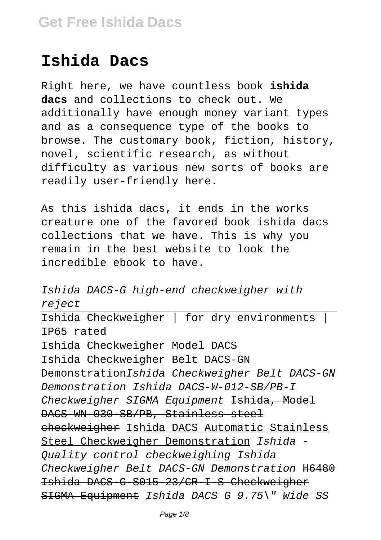## **Ishida Dacs**

Right here, we have countless book **ishida dacs** and collections to check out. We additionally have enough money variant types and as a consequence type of the books to browse. The customary book, fiction, history, novel, scientific research, as without difficulty as various new sorts of books are readily user-friendly here.

As this ishida dacs, it ends in the works creature one of the favored book ishida dacs collections that we have. This is why you remain in the best website to look the incredible ebook to have.

Ishida DACS-G high-end checkweigher with re ject Ishida Checkweigher | for dry environments | IP65 rated Ishida Checkweigher Model DACS Ishida Checkweigher Belt DACS-GN DemonstrationIshida Checkweigher Belt DACS-GN Demonstration Ishida DACS-W-012-SB/PB-I Checkweigher SIGMA Equipment <del>Ishida, Model</del> DACS-WN-030-SB/PB, Stainless steel checkweigher Ishida DACS Automatic Stainless Steel Checkweigher Demonstration Ishida - Quality control checkweighing Ishida Checkweigher Belt DACS-GN Demonstration H6480 Ishida DACS-G-S015-23/CR-I-S Checkweigher SIGMA Equipment Ishida DACS G 9.75\" Wide SS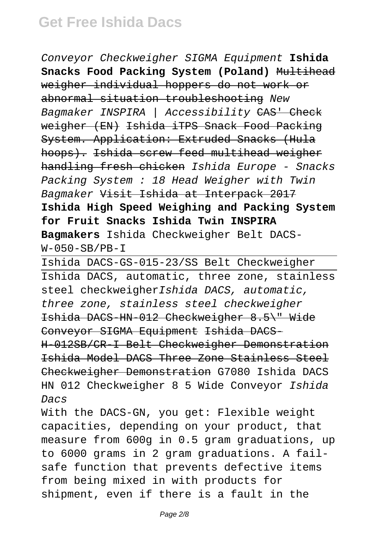Conveyor Checkweigher SIGMA Equipment **Ishida Snacks Food Packing System (Poland)** Multihead weigher individual hoppers do not work or abnormal situation troubleshooting New Bagmaker INSPIRA | Accessibility CAS' Check weigher (EN) Ishida iTPS Snack Food Packing System. Application: Extruded Snacks (Hula hoops). Ishida screw feed multihead weigher handling fresh chicken Ishida Europe - Snacks Packing System : 18 Head Weigher with Twin Bagmaker Visit Ishida at Interpack 2017 **Ishida High Speed Weighing and Packing System for Fruit Snacks Ishida Twin INSPIRA Bagmakers** Ishida Checkweigher Belt DACS- $W-050-SB/PB-T$ 

Ishida DACS-GS-015-23/SS Belt Checkweigher Ishida DACS, automatic, three zone, stainless steel checkweigherIshida DACS, automatic, three zone, stainless steel checkweigher Ishida DACS-HN-012 Checkweigher 8.5\" Wide Conveyor SIGMA Equipment Ishida DACS-H-012SB/CR-I Belt Checkweigher Demonstration Ishida Model DACS Three Zone Stainless Steel Checkweigher Demonstration G7080 Ishida DACS HN 012 Checkweigher 8 5 Wide Conveyor Ishida Dacs

With the DACS-GN, you get: Flexible weight capacities, depending on your product, that measure from 600g in 0.5 gram graduations, up to 6000 grams in 2 gram graduations. A failsafe function that prevents defective items from being mixed in with products for shipment, even if there is a fault in the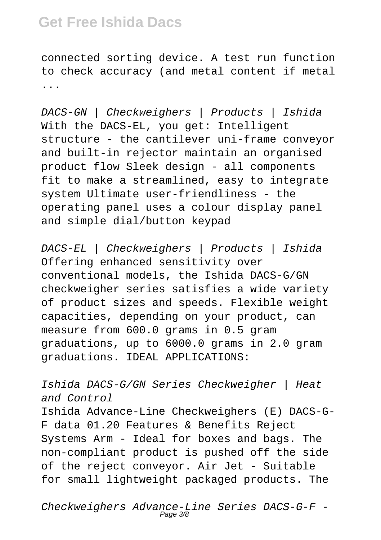connected sorting device. A test run function to check accuracy (and metal content if metal ...

DACS-GN | Checkweighers | Products | Ishida With the DACS-EL, you get: Intelligent structure - the cantilever uni-frame conveyor and built-in rejector maintain an organised product flow Sleek design - all components fit to make a streamlined, easy to integrate system Ultimate user-friendliness - the operating panel uses a colour display panel and simple dial/button keypad

DACS-EL | Checkweighers | Products | Ishida Offering enhanced sensitivity over conventional models, the Ishida DACS-G/GN checkweigher series satisfies a wide variety of product sizes and speeds. Flexible weight capacities, depending on your product, can measure from 600.0 grams in 0.5 gram graduations, up to 6000.0 grams in 2.0 gram graduations. IDEAL APPLICATIONS:

Ishida DACS-G/GN Series Checkweigher | Heat and Control Ishida Advance-Line Checkweighers (E) DACS-G-F data 01.20 Features & Benefits Reject Systems Arm - Ideal for boxes and bags. The non-compliant product is pushed off the side of the reject conveyor. Air Jet - Suitable for small lightweight packaged products. The

Checkweighers Advance-Line Series DACS-G-F - Page 3/8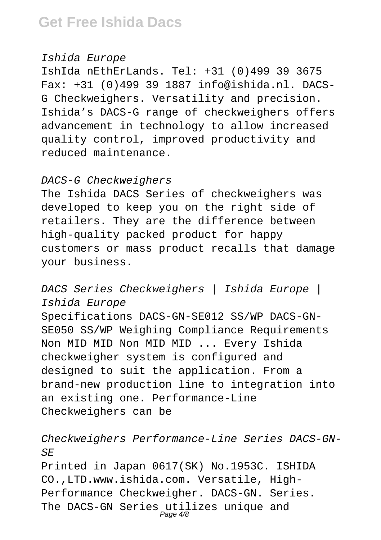#### Ishida Europe

IshIda nEthErLands. Tel: +31 (0)499 39 3675 Fax: +31 (0)499 39 1887 info@ishida.nl. DACS-G Checkweighers. Versatility and precision. Ishida's DACS-G range of checkweighers offers advancement in technology to allow increased quality control, improved productivity and reduced maintenance.

#### DACS-G Checkweighers

The Ishida DACS Series of checkweighers was developed to keep you on the right side of retailers. They are the difference between high-quality packed product for happy customers or mass product recalls that damage your business.

### DACS Series Checkweighers | Ishida Europe | Ishida Europe

Specifications DACS-GN-SE012 SS/WP DACS-GN-SE050 SS/WP Weighing Compliance Requirements Non MID MID Non MID MID ... Every Ishida checkweigher system is configured and designed to suit the application. From a brand-new production line to integration into an existing one. Performance-Line Checkweighers can be

### Checkweighers Performance-Line Series DACS-GN- $S$  $E$

Printed in Japan 0617(SK) No.1953C. ISHIDA CO.,LTD.www.ishida.com. Versatile, High-Performance Checkweigher. DACS-GN. Series. The DACS-GN Series utilizes unique and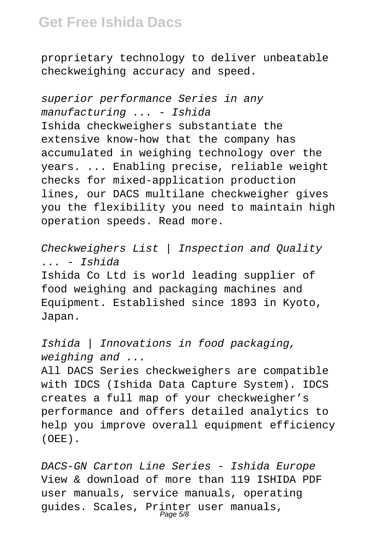proprietary technology to deliver unbeatable checkweighing accuracy and speed.

superior performance Series in any manufacturing ... - Ishida Ishida checkweighers substantiate the extensive know-how that the company has accumulated in weighing technology over the years. ... Enabling precise, reliable weight checks for mixed-application production lines, our DACS multilane checkweigher gives you the flexibility you need to maintain high operation speeds. Read more.

Checkweighers List | Inspection and Quality ... - Ishida Ishida Co Ltd is world leading supplier of food weighing and packaging machines and Equipment. Established since 1893 in Kyoto, Japan.

Ishida | Innovations in food packaging, weighing and ...

All DACS Series checkweighers are compatible with IDCS (Ishida Data Capture System). IDCS creates a full map of your checkweigher's performance and offers detailed analytics to help you improve overall equipment efficiency (OEE).

DACS-GN Carton Line Series - Ishida Europe View & download of more than 119 ISHIDA PDF user manuals, service manuals, operating guides. Scales, Printer user manuals,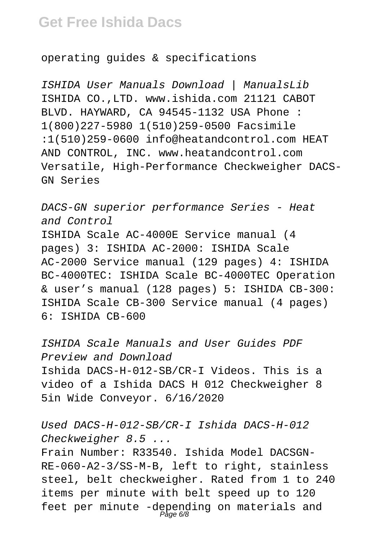operating guides & specifications

ISHIDA User Manuals Download | ManualsLib ISHIDA CO.,LTD. www.ishida.com 21121 CABOT BLVD. HAYWARD, CA 94545-1132 USA Phone : 1(800)227-5980 1(510)259-0500 Facsimile :1(510)259-0600 info@heatandcontrol.com HEAT AND CONTROL, INC. www.heatandcontrol.com Versatile, High-Performance Checkweigher DACS-GN Series

DACS-GN superior performance Series - Heat and Control ISHIDA Scale AC-4000E Service manual (4 pages) 3: ISHIDA AC-2000: ISHIDA Scale AC-2000 Service manual (129 pages) 4: ISHIDA BC-4000TEC: ISHIDA Scale BC-4000TEC Operation & user's manual (128 pages) 5: ISHIDA CB-300: ISHIDA Scale CB-300 Service manual (4 pages) 6: ISHIDA CB-600

ISHIDA Scale Manuals and User Guides PDF Preview and Download Ishida DACS-H-012-SB/CR-I Videos. This is a video of a Ishida DACS H 012 Checkweigher 8 5in Wide Conveyor. 6/16/2020

Used DACS-H-012-SB/CR-I Ishida DACS-H-012 Checkweigher 8.5 ... Frain Number: R33540. Ishida Model DACSGN-RE-060-A2-3/SS-M-B, left to right, stainless steel, belt checkweigher. Rated from 1 to 240 items per minute with belt speed up to 120 feet per minute -depending on materials and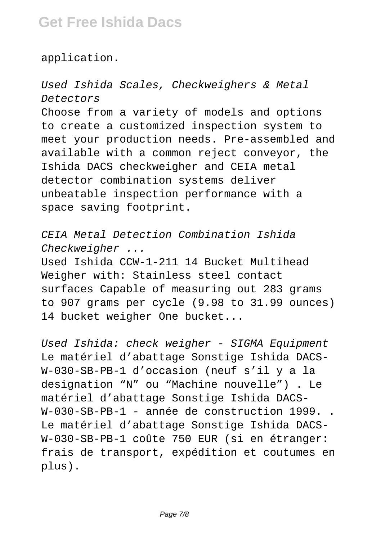application.

Used Ishida Scales, Checkweighers & Metal Detectors Choose from a variety of models and options to create a customized inspection system to meet your production needs. Pre-assembled and available with a common reject conveyor, the Ishida DACS checkweigher and CEIA metal detector combination systems deliver unbeatable inspection performance with a space saving footprint.

CEIA Metal Detection Combination Ishida Checkweigher ...

Used Ishida CCW-1-211 14 Bucket Multihead Weigher with: Stainless steel contact surfaces Capable of measuring out 283 grams to 907 grams per cycle (9.98 to 31.99 ounces) 14 bucket weigher One bucket...

Used Ishida: check weigher - SIGMA Equipment Le matériel d'abattage Sonstige Ishida DACS-W-030-SB-PB-1 d'occasion (neuf s'il y a la designation "N" ou "Machine nouvelle") . Le matériel d'abattage Sonstige Ishida DACS-W-030-SB-PB-1 - année de construction 1999. . Le matériel d'abattage Sonstige Ishida DACS-W-030-SB-PB-1 coûte 750 EUR (si en étranger: frais de transport, expédition et coutumes en plus).